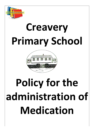

# **Creavery Primary School**



# Policy for the **administration of Medication**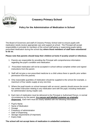

## **Creavery Primary School**

### **Policy for the Administration of Medication in School**

The Board of Governors and staff of Creavery Primary School wish to ensure pupils with medication needs receive appropriate care and support at school. The Principal will accept responsibility in principle for members of the school staff giving or supervising pupils taking prescribed medication during the school day **where those members of staff have volunteered to do so.**

### **Please note that parents should keep their children at home if acutely unwell or infectious.**

- 1. Parents are responsible for providing the Principal with comprehensive information regarding the pupil's condition and medication.
- 2. Prescribed medication will not be accepted in school without complete written and signed instructions from the parent.
- 3. Staff will not give a non prescribed medicine to a child unless there is specific prior written permission from the parents.
- 4. Only reasonable quantities of medication should be supplied to the school (for example, a maximum of four weeks supply at any one time.
- 5. Where the pupil travels on school transport with an escort, parents should ensure the escort has written instruction relating to any medication sent with the pupil, including medication for administration during respite care.
- 6. Each item of medication must be delivered to the Principal or Authorised Person, in normal circumstances by the parent, **in a secure and labelled container as originally dispensed.** Each item must be clearly labelled with the following information:
- ✓ Pupil's Name
- $\checkmark$  Name of Medication
- ✓ Dosage
- $\checkmark$  Frequency of administration
- $\checkmark$  Date of Dispensing
- $\checkmark$  Storage requirements (if important)
- ✓ Expiry Date

#### **The school will not accept items of medication in unlabelled containers.**